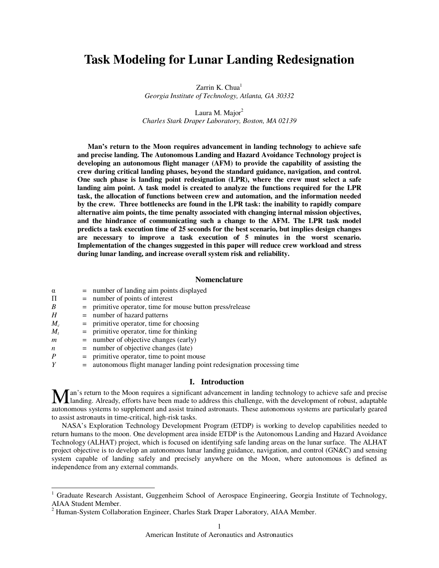# **Task Modeling for Lunar Landing Redesignation**

Zarrin K. Chua $<sup>1</sup>$ </sup>

*Georgia Institute of Technology, Atlanta, GA 30332* 

Laura M. Major<sup>2</sup>

*Charles Stark Draper Laboratory, Boston, MA 02139* 

**Man's return to the Moon requires advancement in landing technology to achieve safe and precise landing. The Autonomous Landing and Hazard Avoidance Technology project is developing an autonomous flight manager (AFM) to provide the capability of assisting the crew during critical landing phases, beyond the standard guidance, navigation, and control. One such phase is landing point redesignation (LPR), where the crew must select a safe landing aim point. A task model is created to analyze the functions required for the LPR task, the allocation of functions between crew and automation, and the information needed by the crew. Three bottlenecks are found in the LPR task: the inability to rapidly compare alternative aim points, the time penalty associated with changing internal mission objectives, and the hindrance of communicating such a change to the AFM. The LPR task model predicts a task execution time of 25 seconds for the best scenario, but implies design changes are necessary to improve a task execution of 5 minutes in the worst scenario. Implementation of the changes suggested in this paper will reduce crew workload and stress during lunar landing, and increase overall system risk and reliability.** 

## **Nomenclature**

- $\alpha$  = number of landing aim points displayed
- $\Pi$  = number of points of interest
- $B$  = primitive operator, time for mouse button press/release  $H$  = number of hazard patterns
- = number of hazard patterns

-

- $M_c$  = primitive operator, time for choosing
- *Mt* = primitive operator, time for thinking
- *m* = number of objective changes (early)
- $n =$  number of objective changes (late)
- $P =$  primitive operator, time to point mouse<br>  $Y =$  autonomous flight manager landing point
- = autonomous flight manager landing point redesignation processing time

## **I. Introduction**

an's return to the Moon requires a significant advancement in landing technology to achieve safe and precise landing. Already, efforts have been made to address this challenge, with the development of robust, adaptable Man's return to the Moon requires a significant advancement in landing technology to achieve safe and precise<br>autonomous Systems to supplement and assist trained astronauts. These autonomous systems are particularly geared to assist astronauts in time-critical, high-risk tasks.

NASA's Exploration Technology Development Program (ETDP) is working to develop capabilities needed to return humans to the moon. One development area inside ETDP is the Autonomous Landing and Hazard Avoidance Technology (ALHAT) project, which is focused on identifying safe landing areas on the lunar surface. The ALHAT project objective is to develop an autonomous lunar landing guidance, navigation, and control (GN&C) and sensing system capable of landing safely and precisely anywhere on the Moon, where autonomous is defined as independence from any external commands.

<sup>1</sup> Graduate Research Assistant, Guggenheim School of Aerospace Engineering, Georgia Institute of Technology, AIAA Student Member.<br><sup>2</sup> Human-System Collaboration Engineer, Charles Stark Draper Laboratory, AIAA Member.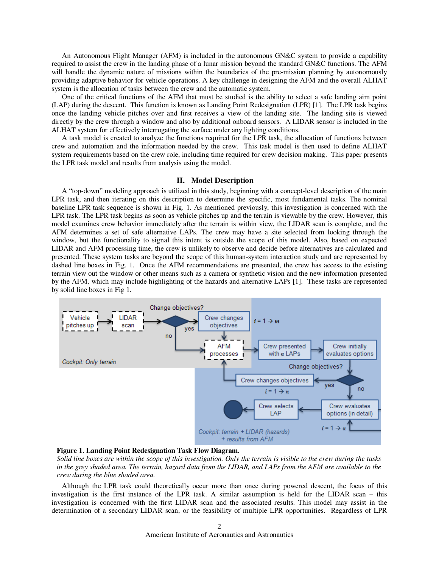An Autonomous Flight Manager (AFM) is included in the autonomous GN&C system to provide a capability required to assist the crew in the landing phase of a lunar mission beyond the standard GN&C functions. The AFM will handle the dynamic nature of missions within the boundaries of the pre-mission planning by autonomously providing adaptive behavior for vehicle operations. A key challenge in designing the AFM and the overall ALHAT system is the allocation of tasks between the crew and the automatic system.

 One of the critical functions of the AFM that must be studied is the ability to select a safe landing aim point (LAP) during the descent. This function is known as Landing Point Redesignation (LPR) [1]. The LPR task begins once the landing vehicle pitches over and first receives a view of the landing site. The landing site is viewed directly by the crew through a window and also by additional onboard sensors. A LIDAR sensor is included in the ALHAT system for effectively interrogating the surface under any lighting conditions.

 A task model is created to analyze the functions required for the LPR task, the allocation of functions between crew and automation and the information needed by the crew. This task model is then used to define ALHAT system requirements based on the crew role, including time required for crew decision making. This paper presents the LPR task model and results from analysis using the model.

### **II. Model Description**

A "top-down" modeling approach is utilized in this study, beginning with a concept-level description of the main LPR task, and then iterating on this description to determine the specific, most fundamental tasks. The nominal baseline LPR task sequence is shown in Fig. 1. As mentioned previously, this investigation is concerned with the LPR task. The LPR task begins as soon as vehicle pitches up and the terrain is viewable by the crew. However, this model examines crew behavior immediately after the terrain is within view, the LIDAR scan is complete, and the AFM determines a set of safe alternative LAPs. The crew may have a site selected from looking through the window, but the functionality to signal this intent is outside the scope of this model. Also, based on expected LIDAR and AFM processing time, the crew is unlikely to observe and decide before alternatives are calculated and presented. These system tasks are beyond the scope of this human-system interaction study and are represented by dashed line boxes in Fig. 1. Once the AFM recommendations are presented, the crew has access to the existing terrain view out the window or other means such as a camera or synthetic vision and the new information presented by the AFM, which may include highlighting of the hazards and alternative LAPs [1]. These tasks are represented by solid line boxes in Fig 1.



**Figure 1. Landing Point Redesignation Task Flow Diagram.** 

*Solid line boxes are within the scope of this investigation. Only the terrain is visible to the crew during the tasks in the grey shaded area. The terrain, hazard data from the LIDAR, and LAPs from the AFM are available to the crew during the blue shaded area.* 

 Although the LPR task could theoretically occur more than once during powered descent, the focus of this investigation is the first instance of the LPR task. A similar assumption is held for the LIDAR scan – this investigation is concerned with the first LIDAR scan and the associated results. This model may assist in the determination of a secondary LIDAR scan, or the feasibility of multiple LPR opportunities. Regardless of LPR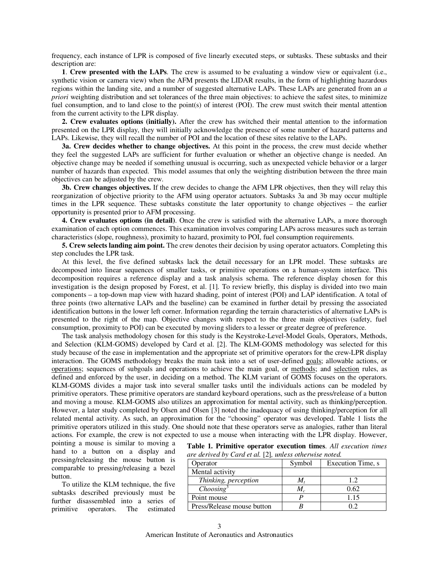frequency, each instance of LPR is composed of five linearly executed steps, or subtasks. These subtasks and their description are:

**1**. **Crew presented with the LAPs**. The crew is assumed to be evaluating a window view or equivalent (i.e., synthetic vision or camera view) when the AFM presents the LIDAR results, in the form of highlighting hazardous regions within the landing site, and a number of suggested alternative LAPs. These LAPs are generated from an *a priori* weighting distribution and set tolerances of the three main objectives: to achieve the safest sites, to minimize fuel consumption, and to land close to the point(s) of interest (POI). The crew must switch their mental attention from the current activity to the LPR display.

**2. Crew evaluates options (initially).** After the crew has switched their mental attention to the information presented on the LPR display, they will initially acknowledge the presence of some number of hazard patterns and LAPs. Likewise, they will recall the number of POI and the location of these sites relative to the LAPs.

**3a. Crew decides whether to change objectives.** At this point in the process, the crew must decide whether they feel the suggested LAPs are sufficient for further evaluation or whether an objective change is needed. An objective change may be needed if something unusual is occurring, such as unexpected vehicle behavior or a larger number of hazards than expected. This model assumes that only the weighting distribution between the three main objectives can be adjusted by the crew.

**3b. Crew changes objectives.** If the crew decides to change the AFM LPR objectives, then they will relay this reorganization of objective priority to the AFM using operator actuators. Subtasks 3a and 3b may occur multiple times in the LPR sequence. These subtasks constitute the later opportunity to change objectives – the earlier opportunity is presented prior to AFM processing.

**4. Crew evaluates options (in detail)**. Once the crew is satisfied with the alternative LAPs, a more thorough examination of each option commences. This examination involves comparing LAPs across measures such as terrain characteristics (slope, roughness), proximity to hazard, proximity to POI, fuel consumption requirements.

**5. Crew selects landing aim point.** The crew denotes their decision by using operator actuators. Completing this step concludes the LPR task.

At this level, the five defined subtasks lack the detail necessary for an LPR model. These subtasks are decomposed into linear sequences of smaller tasks, or primitive operations on a human-system interface. This decomposition requires a reference display and a task analysis schema. The reference display chosen for this investigation is the design proposed by Forest, et al. [1]. To review briefly, this display is divided into two main components – a top-down map view with hazard shading, point of interest (POI) and LAP identification. A total of three points (two alternative LAPs and the baseline) can be examined in further detail by pressing the associated identification buttons in the lower left corner. Information regarding the terrain characteristics of alternative LAPs is presented to the right of the map. Objective changes with respect to the three main objectives (safety, fuel consumption, proximity to POI) can be executed by moving sliders to a lesser or greater degree of preference.

The task analysis methodology chosen for this study is the Keystroke-Level-Model Goals, Operators, Methods, and Selection (KLM-GOMS) developed by Card et al. [2]. The KLM-GOMS methodology was selected for this study because of the ease in implementation and the appropriate set of primitive operators for the crew-LPR display interaction. The GOMS methodology breaks the main task into a set of user-defined goals; allowable actions, or operations; sequences of subgoals and operations to achieve the main goal, or methods; and selection rules, as defined and enforced by the user, in deciding on a method. The KLM variant of GOMS focuses on the operators. KLM-GOMS divides a major task into several smaller tasks until the individuals actions can be modeled by primitive operators. These primitive operators are standard keyboard operations, such as the press/release of a button and moving a mouse. KLM-GOMS also utilizes an approximation for mental activity, such as thinking/perception. However, a later study completed by Olsen and Olsen [3] noted the inadequacy of using thinking/perception for all related mental activity. As such, an approximation for the "choosing" operator was developed. Table 1 lists the primitive operators utilized in this study. One should note that these operators serve as analogies, rather than literal actions. For example, the crew is not expected to use a mouse when interacting with the LPR display. However,

pointing a mouse is similar to moving a **Table 1. Primitive operator execution times**. All execution times hand to a button on a display and pressing/releasing the mouse button is comparable to pressing/releasing a bezel button.

To utilize the KLM technique, the five subtasks described previously must be further disassembled into a series of primitive operators. The estimated

|                                                         |  |  |  |  | <b>Table 1. Primitive operator execution times.</b> All execution times |  |
|---------------------------------------------------------|--|--|--|--|-------------------------------------------------------------------------|--|
| are derived by Card et al. [2], unless otherwise noted. |  |  |  |  |                                                                         |  |

| Operator                   | Symbol | Execution Time, s |
|----------------------------|--------|-------------------|
| Mental activity            |        |                   |
| Thinking, perception       | IИ     |                   |
| Choosing <sup>3</sup>      |        | 0.62              |
| Point mouse                |        | 1.15              |
| Press/Release mouse button |        | ハク                |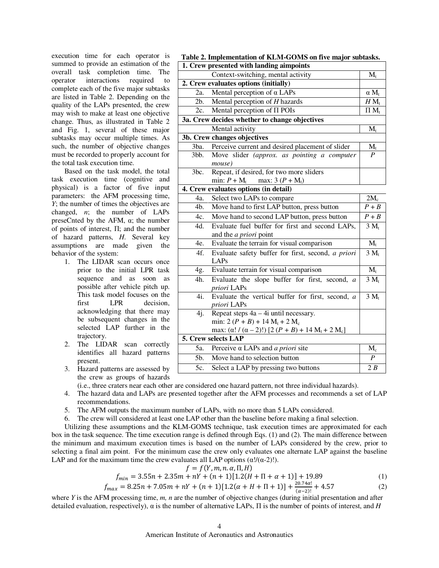execution time for each operator is summed to provide an estimation of the overall task completion time. The operator interactions required to complete each of the five major subtasks are listed in Table 2. Depending on the quality of the LAPs presented, the crew may wish to make at least one objective change. Thus, as illustrated in Table 2 and Fig. 1, several of these major subtasks may occur multiple times. As such, the number of objective changes must be recorded to properly account for the total task execution time.

Based on the task model, the total task execution time (cognitive and physical) is a factor of five input parameters: the AFM processing time, *Y*; the number of times the objectives are changed, *n*; the number of LAPs preseCnted by the AFM,  $\alpha$ ; the number of points of interest, Π; and the number of hazard patterns, *H*. Several key assumptions are made given the behavior of the system:

- 1. The LIDAR scan occurs once prior to the initial LPR task sequence and as soon as possible after vehicle pitch up. This task model focuses on the first LPR decision, acknowledging that there may be subsequent changes in the selected LAP further in the trajectory.
- 2. The LIDAR scan correctly identifies all hazard patterns present.
- 
- 3. Hazard patterns are assessed by the crew as groups of hazards

| Table 2. Implementation of KLM-GOMS on five major subtasks. |            |
|-------------------------------------------------------------|------------|
| 1. Crew presented with landing aimpoints                    |            |
| Context-switching, mental activity                          | M,         |
| 2. Crew evaluates options (initially)                       |            |
| 2a. Mental perception of $\alpha$ LAPs                      | $\alpha$ M |

2a. Mental perception of  $\alpha$  LAPs  $\alpha M_t$ 2b. Mental perception of *H* hazards *H* M<sub>t</sub> 2c. Mental perception of  $\Pi$  POIs  $\Pi M_t$ **3a. Crew decides whether to change objectives** Mental activity  $M_t$ **3b. Crew changes objectives**  $3ba.$  Perceive current and desired placement of slider  $\parallel M_t$ 3bb. Move slider *(approx. as pointing a computer mouse) P* 3bc. Repeat, if desired, for two more sliders min:  $P + M_t$  max: 3 ( $P + M_t$ ) **4. Crew evaluates options (in detail)** 4a. Select two LAPs to compare 2M<sub>c</sub><br>4b. Move hand to first LAP button, press button  $P + E$ Move hand to first LAP button, press button  $P + B$ 4c. Move hand to second LAP button, press button  $P + B$ 4d. Evaluate fuel buffer for first and second LAPs, and the *a priori* point  $3 M_t$ 4e. Evaluate the terrain for visual comparison  $M_t$ 4f. Evaluate safety buffer for first, second, *a priori* LAPs  $3 M_t$  $\overline{4g}$ . Evaluate terrain for visual comparison  $M_t$ 4h. Evaluate the slope buffer for first, second, *a priori* LAPs  $3 M_t$ 4i. Evaluate the vertical buffer for first, second, *a priori* LAPs  $3 M_t$ 4j. Repeat steps 4a – 4i until necessary. min:  $2 (P + B) + 14 M_t + 2 M_c$ max:  $(α! / (α-2)!) [2 (P+B) + 14 M<sub>t</sub> + 2 M<sub>c</sub>]$ **5. Crew selects LAP** 5a. Perceive α LAPs and *a priori* site  $M_c$ 5b. Move hand to selection button *P* 5c. Select a LAP by pressing two buttons 2 *B*

(i.e., three craters near each other are considered one hazard pattern, not three individual hazards).

- 4. The hazard data and LAPs are presented together after the AFM processes and recommends a set of LAP recommendations.
- 5. The AFM outputs the maximum number of LAPs, with no more than 5 LAPs considered.
- 6. The crew will considered at least one LAP other than the baseline before making a final selection.

Utilizing these assumptions and the KLM-GOMS technique, task execution times are approximated for each box in the task sequence. The time execution range is defined through Eqs. (1) and (2). The main difference between the minimum and maximum execution times is based on the number of LAPs considered by the crew, prior to selecting a final aim point. For the minimum case the crew only evaluates one alternate LAP against the baseline LAP and for the maximum time the crew evaluates all LAP options  $(\alpha!/(\alpha-2)!)$ .

$$
f = f(Y, m, n, \alpha, \Pi, H)
$$

$$
f_{min} = 3.55n + 2.35m + nY + (n+1)[1.2(H + \Pi + \alpha + 1)] + 19.89
$$
 (1)

$$
f_{max} = 8.25n + 7.05m + nY + (n+1)[1.2(\alpha + H + \Pi + 1)] + \frac{20.74\alpha!}{(\alpha - 2)!} + 4.57
$$
 (2)

where *Y* is the AFM processing time, *m*, *n* are the number of objective changes (during initial presentation and after detailed evaluation, respectively), α is the number of alternative LAPs, Π is the number of points of interest, and *H*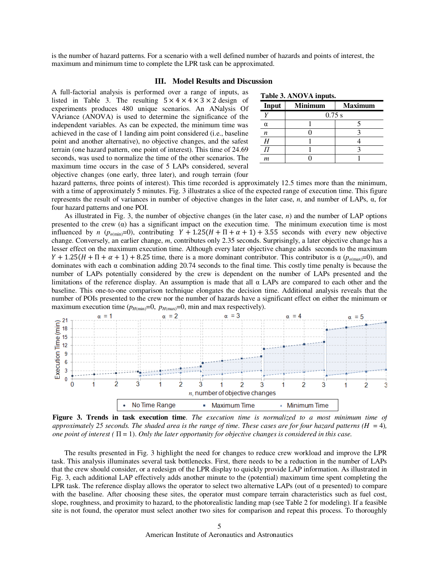is the number of hazard patterns. For a scenario with a well defined number of hazards and points of interest, the maximum and minimum time to complete the LPR task can be approximated.

#### **III. Model Results and Discussion**

A full-factorial analysis is performed over a range of inputs, as listed in Table 3. The resulting  $5 \times 4 \times 4 \times 3 \times 2$  design of experiments produces 480 unique scenarios. An ANalysis Of VAriance (ANOVA) is used to determine the significance of the independent variables. As can be expected, the minimum time was achieved in the case of 1 landing aim point considered (i.e., baseline point and another alternative), no objective changes, and the safest terrain (one hazard pattern, one point of interest). This time of 24.69 seconds, was used to normalize the time of the other scenarios. The maximum time occurs in the case of 5 LAPs considered, several objective changes (one early, three later), and rough terrain (four

| Table 3. ANOVA inputs. |  |  |  |
|------------------------|--|--|--|
|------------------------|--|--|--|

| Input            | <b>Minimum</b> | <b>Maximum</b> |  |
|------------------|----------------|----------------|--|
|                  | 0.75 s         |                |  |
| α                |                |                |  |
| $\boldsymbol{n}$ |                |                |  |
| H                |                |                |  |
|                  |                |                |  |
| m                |                |                |  |

hazard patterns, three points of interest). This time recorded is approximately 12.5 times more than the minimum, with a time of approximately 5 minutes. Fig. 3 illustrates a slice of the expected range of execution time. This figure represents the result of variances in number of objective changes in the later case, *n*, and number of LAPs, α, for four hazard patterns and one POI.

As illustrated in Fig. 3, the number of objective changes (in the later case, *n*) and the number of LAP options presented to the crew (α) has a significant impact on the execution time. The minimum execution time is most influenced by *n* ( $p_{n(\text{min})}=0$ ), contributing  $Y + 1.25(H + \Pi + \alpha + 1) + 3.55$  seconds with every new objective change. Conversely, an earlier change, *m*, contributes only 2.35 seconds. Surprisingly, a later objective change has a lesser effect on the maximum execution time. Although every later objective change adds seconds to the maximum  $Y + 1.25(H + \Pi + \alpha + 1) + 8.25$  time, there is a more dominant contributor. This contributor is  $\alpha$  ( $p_{\alpha(\text{max})}$ =0), and dominates with each  $\alpha$  combination adding 20.74 seconds to the final time. This costly time penalty is because the number of LAPs potentially considered by the crew is dependent on the number of LAPs presented and the limitations of the reference display. An assumption is made that all  $\alpha$  LAPs are compared to each other and the baseline. This one-to-one comparison technique elongates the decision time. Additional analysis reveals that the number of POIs presented to the crew nor the number of hazards have a significant effect on either the minimum or maximum execution time ( $p_{H(\text{min})}=0$ ,  $p_{H(\text{max})}=0$ , min and max respectively).



**Figure 3. Trends in task execution time**. *The execution time is normalized to a most minimum time of approximately 25 seconds. The shaded area is the range of time. These cases are for four hazard patterns (* $H = 4$ *), one point of interest* ( $\Pi = 1$ ). *Only the later opportunity for objective changes is considered in this case.* 

The results presented in Fig. 3 highlight the need for changes to reduce crew workload and improve the LPR task. This analysis illuminates several task bottlenecks. First, there needs to be a reduction in the number of LAPs that the crew should consider, or a redesign of the LPR display to quickly provide LAP information. As illustrated in Fig. 3, each additional LAP effectively adds another minute to the (potential) maximum time spent completing the LPR task. The reference display allows the operator to select two alternative LAPs (out of  $\alpha$  presented) to compare with the baseline. After choosing these sites, the operator must compare terrain characteristics such as fuel cost, slope, roughness, and proximity to hazard, to the photorealistic landing map (see Table 2 for modeling). If a feasible site is not found, the operator must select another two sites for comparison and repeat this process. To thoroughly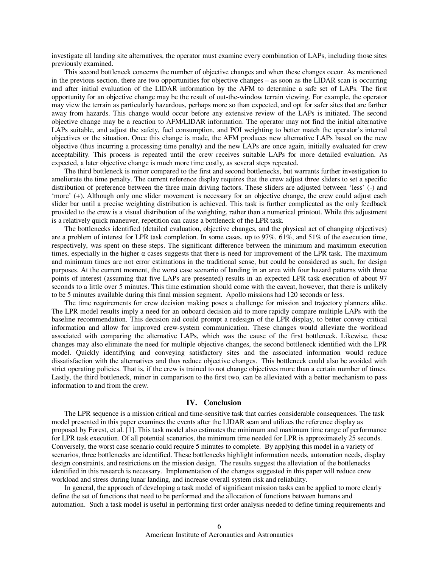investigate all landing site alternatives, the operator must examine every combination of LAPs, including those sites previously examined.

This second bottleneck concerns the number of objective changes and when these changes occur. As mentioned in the previous section, there are two opportunities for objective changes – as soon as the LIDAR scan is occurring and after initial evaluation of the LIDAR information by the AFM to determine a safe set of LAPs. The first opportunity for an objective change may be the result of out-the-window terrain viewing. For example, the operator may view the terrain as particularly hazardous, perhaps more so than expected, and opt for safer sites that are farther away from hazards. This change would occur before any extensive review of the LAPs is initiated. The second objective change may be a reaction to AFM/LIDAR information. The operator may not find the initial alternative LAPs suitable, and adjust the safety, fuel consumption, and POI weighting to better match the operator's internal objectives or the situation. Once this change is made, the AFM produces new alternative LAPs based on the new objective (thus incurring a processing time penalty) and the new LAPs are once again, initially evaluated for crew acceptability. This process is repeated until the crew receives suitable LAPs for more detailed evaluation. As expected, a later objective change is much more time costly, as several steps repeated.

The third bottleneck is minor compared to the first and second bottlenecks, but warrants further investigation to ameliorate the time penalty. The current reference display requires that the crew adjust three sliders to set a specific distribution of preference between the three main driving factors. These sliders are adjusted between 'less' (-) and 'more' (+). Although only one slider movement is necessary for an objective change, the crew could adjust each slider bar until a precise weighting distribution is achieved. This task is further complicated as the only feedback provided to the crew is a visual distribution of the weighting, rather than a numerical printout. While this adjustment is a relatively quick maneuver, repetition can cause a bottleneck of the LPR task.

The bottlenecks identified (detailed evaluation, objective changes, and the physical act of changing objectives) are a problem of interest for LPR task completion. In some cases, up to 97%, 61%, and 51% of the execution time, respectively, was spent on these steps. The significant difference between the minimum and maximum execution times, especially in the higher  $\alpha$  cases suggests that there is need for improvement of the LPR task. The maximum and minimum times are not error estimations in the traditional sense, but could be considered as such, for design purposes. At the current moment, the worst case scenario of landing in an area with four hazard patterns with three points of interest (assuming that five LAPs are presented) results in an expected LPR task execution of about 97 seconds to a little over 5 minutes. This time estimation should come with the caveat, however, that there is unlikely to be 5 minutes available during this final mission segment. Apollo missions had 120 seconds or less.

The time requirements for crew decision making poses a challenge for mission and trajectory planners alike. The LPR model results imply a need for an onboard decision aid to more rapidly compare multiple LAPs with the baseline recommendation. This decision aid could prompt a redesign of the LPR display, to better convey critical information and allow for improved crew-system communication. These changes would alleviate the workload associated with comparing the alternative LAPs, which was the cause of the first bottleneck. Likewise, these changes may also eliminate the need for multiple objective changes, the second bottleneck identified with the LPR model. Quickly identifying and conveying satisfactory sites and the associated information would reduce dissatisfaction with the alternatives and thus reduce objective changes. This bottleneck could also be avoided with strict operating policies. That is, if the crew is trained to not change objectives more than a certain number of times. Lastly, the third bottleneck, minor in comparison to the first two, can be alleviated with a better mechanism to pass information to and from the crew.

#### **IV. Conclusion**

The LPR sequence is a mission critical and time-sensitive task that carries considerable consequences. The task model presented in this paper examines the events after the LIDAR scan and utilizes the reference display as proposed by Forest, et al. [1]. This task model also estimates the minimum and maximum time range of performance for LPR task execution. Of all potential scenarios, the minimum time needed for LPR is approximately 25 seconds. Conversely, the worst case scenario could require 5 minutes to complete. By applying this model in a variety of scenarios, three bottlenecks are identified. These bottlenecks highlight information needs, automation needs, display design constraints, and restrictions on the mission design. The results suggest the alleviation of the bottlenecks identified in this research is necessary. Implementation of the changes suggested in this paper will reduce crew workload and stress during lunar landing, and increase overall system risk and reliability.

In general, the approach of developing a task model of significant mission tasks can be applied to more clearly define the set of functions that need to be performed and the allocation of functions between humans and automation. Such a task model is useful in performing first order analysis needed to define timing requirements and